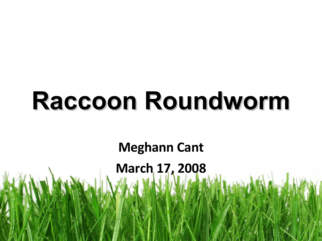# **Raccoon Roundworm**

**Meghann Cant**

**March 17, 2008**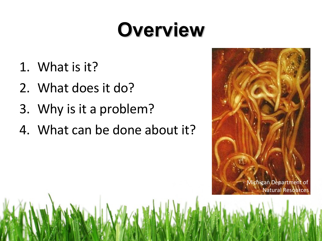## **Overview**

- 1. What is it?
- 2. What does it do?
- 3. Why is it a problem?
- 4. What can be done about it?

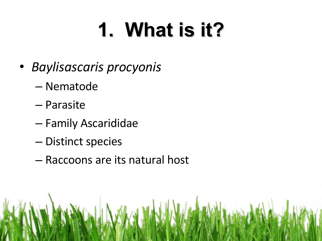# **1. What is it?**

- *Baylisascaris procyonis*
	- Nematode
	- Parasite
	- Family Ascarididae
	- Distinct species
	- Raccoons are its natural host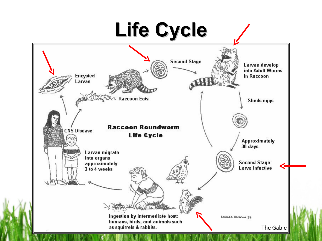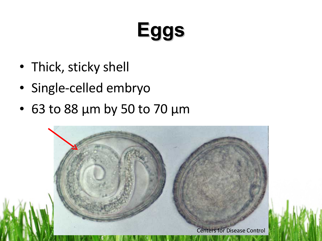# **Eggs**

- Thick, sticky shell
- Single-celled embryo
- 63 to 88 μm by 50 to 70 μm

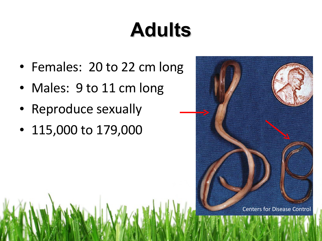# **Adults**

- Females: 20 to 22 cm long
- Males: 9 to 11 cm long
- Reproduce sexually
- 115,000 to 179,000

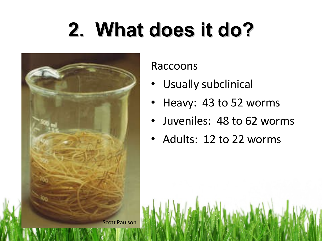# **2. What does it do?**



Raccoons

- Usually subclinical
- Heavy: 43 to 52 worms
- Juveniles: 48 to 62 worms
- Adults: 12 to 22 worms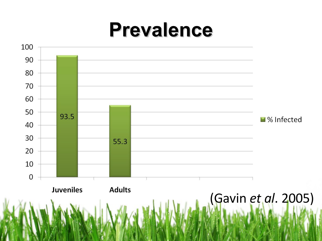#### **Prevalence**

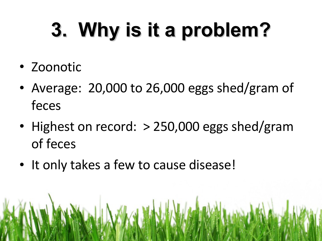# **3. Why is it a problem?**

- Zoonotic
- Average: 20,000 to 26,000 eggs shed/gram of feces
- Highest on record: > 250,000 eggs shed/gram of feces
- It only takes a few to cause disease!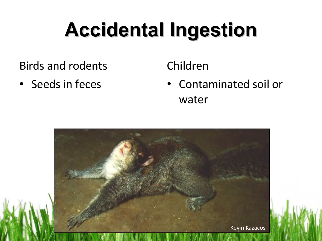# **Accidental Ingestion**

Birds and rodents

• Seeds in feces

#### Children

• Contaminated soil or water

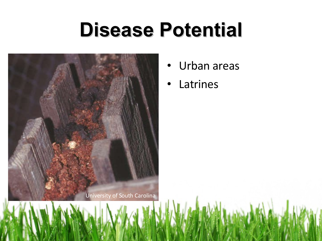#### **Disease Potential**



- Urban areas
- Latrines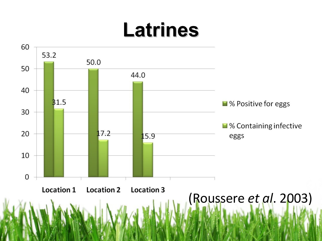#### **Latrines**

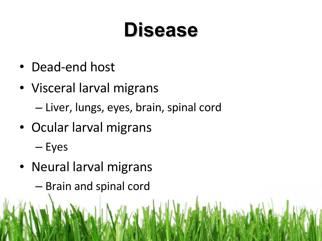#### **Disease**

- Dead-end host
- Visceral larval migrans

– Liver, lungs, eyes, brain, spinal cord

• Ocular larval migrans

– Eyes

- Neural larval migrans
	- Brain and spinal cord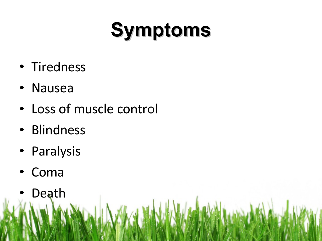# **Symptoms**

- Tiredness
- Nausea
- Loss of muscle control
- Blindness
- Paralysis
- Coma
- Death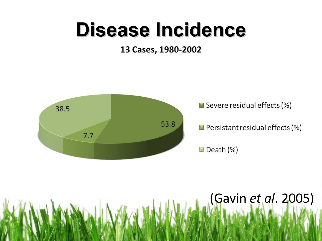#### **Disease Incidence**

#### 13 Cases, 1980-2002



# (Gavin *et al*. 2005)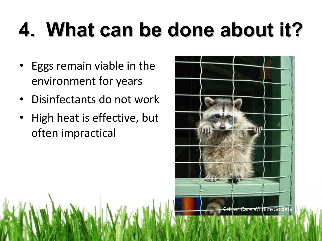# **4. What can be done about it?**

- Eggs remain viable in the environment for years
- Disinfectants do not work
- High heat is effective, but often impractical

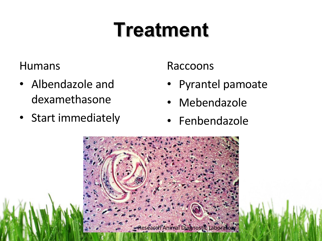## **Treatment**

Humans

- Albendazole and dexamethasone
- Start immediately

Raccoons

- Pyrantel pamoate
- Mebendazole
- **Fenbendazole**

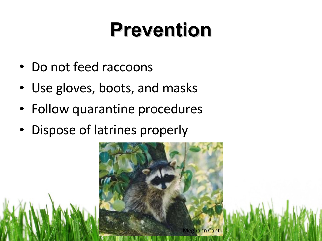## **Prevention**

- Do not feed raccoons
- Use gloves, boots, and masks
- Follow quarantine procedures
- Dispose of latrines properly